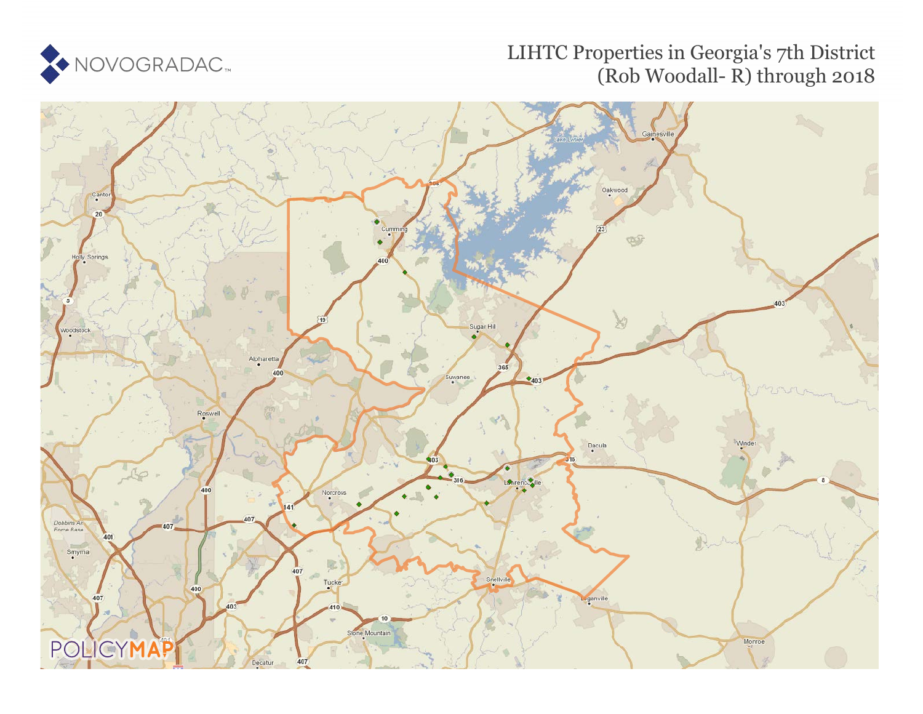

## LIHTC Properties in Georgia's 7th District (Rob Woodall- R) through 2018

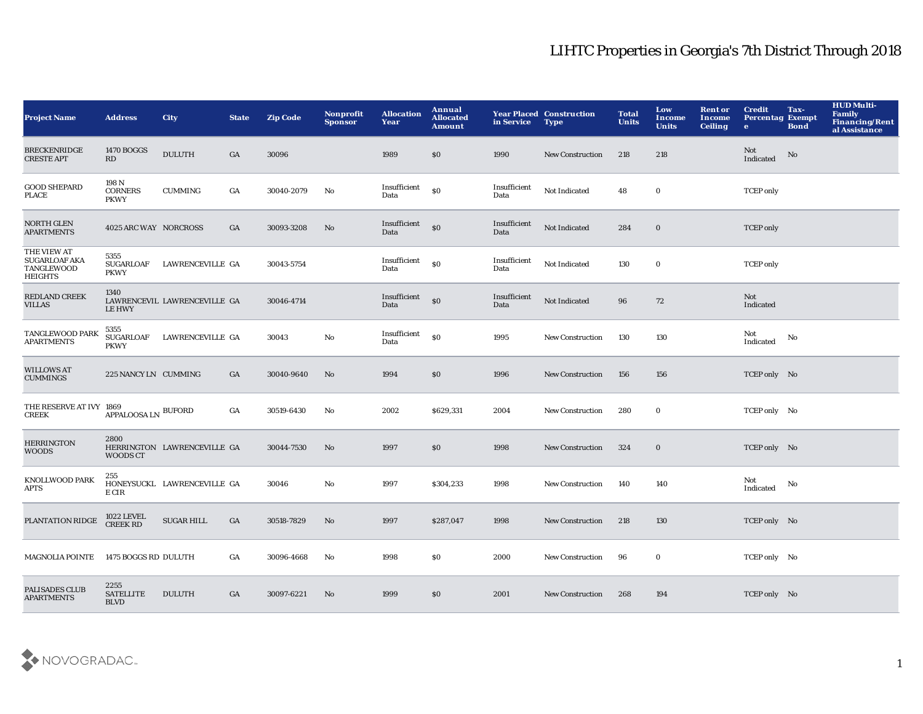## LIHTC Properties in Georgia's 7th District Through 2018

| <b>Project Name</b>                                                 | <b>Address</b>                          | City                         | <b>State</b> | <b>Zip Code</b> | Nonprofit<br><b>Sponsor</b> | <b>Allocation</b><br>Year | Annual<br><b>Allocated</b><br><b>Amount</b> | in Service           | <b>Year Placed Construction</b><br><b>Type</b> | <b>Total</b><br><b>Units</b> | Low<br><b>Income</b><br><b>Units</b> | <b>Rent or</b><br>Income<br><b>Ceiling</b> | <b>Credit</b><br><b>Percentag Exempt</b><br>$\bullet$ | Tax-<br><b>Bond</b> | <b>HUD Multi-</b><br><b>Family</b><br><b>Financing/Rent</b><br>al Assistance |
|---------------------------------------------------------------------|-----------------------------------------|------------------------------|--------------|-----------------|-----------------------------|---------------------------|---------------------------------------------|----------------------|------------------------------------------------|------------------------------|--------------------------------------|--------------------------------------------|-------------------------------------------------------|---------------------|------------------------------------------------------------------------------|
| <b>BRECKENRIDGE</b><br><b>CRESTE APT</b>                            | 1470 BOGGS<br>RD                        | <b>DULUTH</b>                | GA           | 30096           |                             | 1989                      | \$0                                         | 1990                 | <b>New Construction</b>                        | 218                          | 218                                  |                                            | Not<br>Indicated                                      | No                  |                                                                              |
| <b>GOOD SHEPARD</b><br><b>PLACE</b>                                 | 198 N<br><b>CORNERS</b><br><b>PKWY</b>  | <b>CUMMING</b>               | GA           | 30040-2079      | No                          | Insufficient<br>Data      | S <sub>0</sub>                              | Insufficient<br>Data | Not Indicated                                  | 48                           | $\bf{0}$                             |                                            | <b>TCEP</b> only                                      |                     |                                                                              |
| <b>NORTH GLEN</b><br><b>APARTMENTS</b>                              | 4025 ARC WAY NORCROSS                   |                              | GA           | 30093-3208      | No                          | Insufficient<br>Data      | \$0                                         | Insufficient<br>Data | Not Indicated                                  | 284                          | $\mathbf 0$                          |                                            | <b>TCEP</b> only                                      |                     |                                                                              |
| THE VIEW AT<br><b>SUGARLOAF AKA</b><br>TANGLEWOOD<br><b>HEIGHTS</b> | 5355<br>SUGARLOAF<br><b>PKWY</b>        | LAWRENCEVILLE GA             |              | 30043-5754      |                             | Insufficient<br>Data      | $\$0$                                       | Insufficient<br>Data | Not Indicated                                  | 130                          | $\bf{0}$                             |                                            | <b>TCEP</b> only                                      |                     |                                                                              |
| REDLAND CREEK<br>VILLAS                                             | 1340<br><b>LE HWY</b>                   | LAWRENCEVIL LAWRENCEVILLE GA |              | 30046-4714      |                             | Insufficient<br>Data      | S <sub>0</sub>                              | Insufficient<br>Data | Not Indicated                                  | 96                           | 72                                   |                                            | <b>Not</b><br>Indicated                               |                     |                                                                              |
| TANGLEWOOD PARK<br><b>APARTMENTS</b>                                | 5355<br><b>SUGARLOAF</b><br><b>PKWY</b> | LAWRENCEVILLE GA             |              | 30043           | $\mathbf{N}\mathbf{o}$      | Insufficient<br>Data      | $\$0$                                       | 1995                 | <b>New Construction</b>                        | 130                          | 130                                  |                                            | Not<br>Indicated                                      | No                  |                                                                              |
| <b>WILLOWS AT</b><br><b>CUMMINGS</b>                                | 225 NANCY LN CUMMING                    |                              | GA           | 30040-9640      | No                          | 1994                      | \$0                                         | 1996                 | <b>New Construction</b>                        | 156                          | 156                                  |                                            | TCEP only No                                          |                     |                                                                              |
| THE RESERVE AT IVY 1869<br><b>CREEK</b>                             | ${\sf APPALOOSALN}$ BUFORD              |                              | GA           | 30519-6430      | No                          | 2002                      | \$629,331                                   | 2004                 | <b>New Construction</b>                        | 280                          | $\bf{0}$                             |                                            | TCEP only No                                          |                     |                                                                              |
| <b>HERRINGTON</b><br><b>WOODS</b>                                   | 2800<br><b>WOODS CT</b>                 | HERRINGTON LAWRENCEVILLE GA  |              | 30044-7530      | No                          | 1997                      | \$0\$                                       | 1998                 | <b>New Construction</b>                        | 324                          | $\bf{0}$                             |                                            | TCEP only No                                          |                     |                                                                              |
| <b>KNOLLWOOD PARK</b><br>APTS                                       | 255<br>E CIR                            | HONEYSUCKL LAWRENCEVILLE GA  |              | 30046           | $\mathbf{N}\mathbf{o}$      | 1997                      | \$304,233                                   | 1998                 | <b>New Construction</b>                        | 140                          | 140                                  |                                            | Not<br>Indicated                                      | No                  |                                                                              |
| PLANTATION RIDGE                                                    | <b>1022 LEVEL</b><br><b>CREEK RD</b>    | <b>SUGAR HILL</b>            | GA           | 30518-7829      | No                          | 1997                      | \$287,047                                   | 1998                 | <b>New Construction</b>                        | 218                          | 130                                  |                                            | TCEP only No                                          |                     |                                                                              |
| MAGNOLIA POINTE 1475 BOGGS RD DULUTH                                |                                         |                              | GA           | 30096-4668      | No                          | 1998                      | \$0                                         | 2000                 | <b>New Construction</b>                        | 96                           | $\bf{0}$                             |                                            | TCEP only No                                          |                     |                                                                              |
| PALISADES CLUB<br><b>APARTMENTS</b>                                 | 2255<br><b>SATELLITE</b><br><b>BLVD</b> | <b>DULUTH</b>                | GA           | 30097-6221      | No                          | 1999                      | \$0                                         | 2001                 | <b>New Construction</b>                        | 268                          | 194                                  |                                            | TCEP only No                                          |                     |                                                                              |

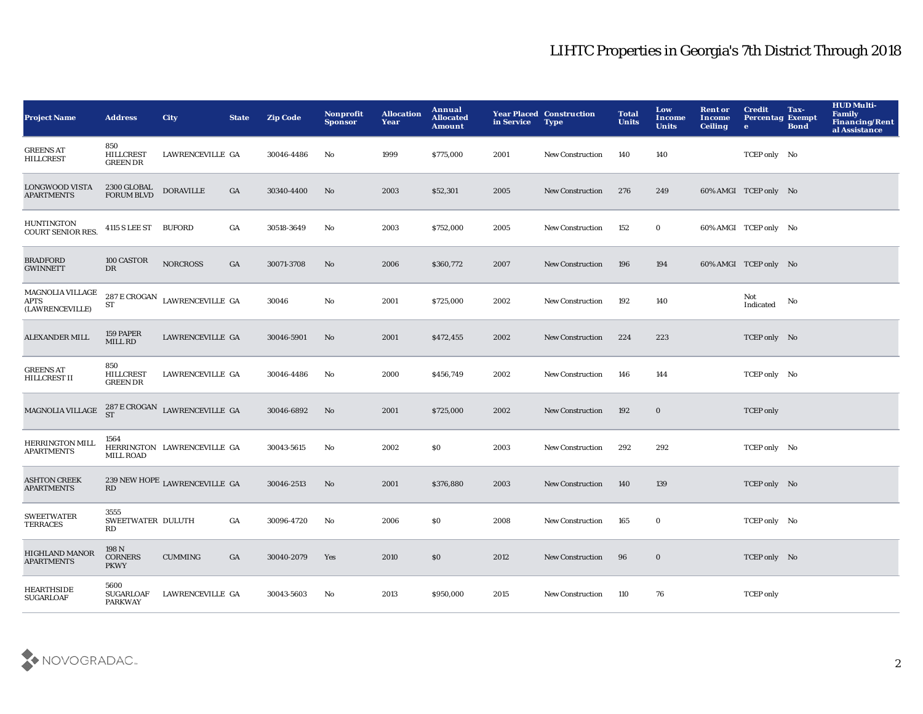## LIHTC Properties in Georgia's 7th District Through 2018

| <b>Project Name</b>                                | <b>Address</b>                             | <b>City</b>                                            | <b>State</b>     | <b>Zip Code</b> | Nonprofit<br><b>Sponsor</b> | <b>Allocation</b><br>Year | Annual<br><b>Allocated</b><br><b>Amount</b> | in Service | <b>Year Placed Construction</b><br><b>Type</b> | <b>Total</b><br><b>Units</b> | Low<br>Income<br><b>Units</b> | <b>Rent or</b><br>Income<br><b>Ceiling</b> | <b>Credit</b><br><b>Percentag Exempt</b><br>$\bullet$ | Tax-<br><b>Bond</b> | <b>HUD Multi-</b><br>Family<br><b>Financing/Rent</b><br>al Assistance |
|----------------------------------------------------|--------------------------------------------|--------------------------------------------------------|------------------|-----------------|-----------------------------|---------------------------|---------------------------------------------|------------|------------------------------------------------|------------------------------|-------------------------------|--------------------------------------------|-------------------------------------------------------|---------------------|-----------------------------------------------------------------------|
| <b>GREENS AT</b><br><b>HILLCREST</b>               | 850<br><b>HILLCREST</b><br><b>GREEN DR</b> | LAWRENCEVILLE GA                                       |                  | 30046-4486      | No                          | 1999                      | \$775,000                                   | 2001       | <b>New Construction</b>                        | 140                          | 140                           |                                            | TCEP only No                                          |                     |                                                                       |
| LONGWOOD VISTA<br><b>APARTMENTS</b>                | 2300 GLOBAL<br><b>FORUM BLVD</b>           | <b>DORAVILLE</b>                                       | $_{\mathrm{GA}}$ | 30340-4400      | No                          | 2003                      | \$52,301                                    | 2005       | <b>New Construction</b>                        | 276                          | 249                           |                                            | 60% AMGI TCEP only No                                 |                     |                                                                       |
| HUNTINGTON<br><b>COURT SENIOR RES.</b>             | 4115 S LEE ST BUFORD                       |                                                        | $_{\mathrm{GA}}$ | 30518-3649      | $\mathbf{No}$               | 2003                      | \$752,000                                   | 2005       | <b>New Construction</b>                        | 152                          | $\mathbf 0$                   |                                            | 60% AMGI TCEP only No                                 |                     |                                                                       |
| <b>BRADFORD</b><br><b>GWINNETT</b>                 | 100 CASTOR<br>$_{\rm DR}$                  | <b>NORCROSS</b>                                        | GA               | 30071-3708      | No                          | 2006                      | \$360,772                                   | 2007       | <b>New Construction</b>                        | 196                          | 194                           |                                            | 60% AMGI TCEP only No                                 |                     |                                                                       |
| MAGNOLIA VILLAGE<br><b>APTS</b><br>(LAWRENCEVILLE) | ST                                         | $287\,\mathrm{E}\,\mathrm{CROGAN}$ LAWRENCEVILLE GA    |                  | 30046           | $\mathbf{No}$               | 2001                      | \$725,000                                   | 2002       | <b>New Construction</b>                        | 192                          | 140                           |                                            | Not<br>Indicated                                      | No                  |                                                                       |
| <b>ALEXANDER MILL</b>                              | 159 PAPER<br>MILL RD                       | LAWRENCEVILLE GA                                       |                  | 30046-5901      | No                          | 2001                      | \$472,455                                   | 2002       | <b>New Construction</b>                        | 224                          | 223                           |                                            | TCEP only No                                          |                     |                                                                       |
| <b>GREENS AT</b><br>HILLCREST II                   | 850<br><b>HILLCREST</b><br><b>GREEN DR</b> | LAWRENCEVILLE GA                                       |                  | 30046-4486      | No                          | 2000                      | \$456,749                                   | 2002       | <b>New Construction</b>                        | 146                          | 144                           |                                            | TCEP only No                                          |                     |                                                                       |
| MAGNOLIA VILLAGE                                   |                                            | $287\,\mathrm{E}\,\mathrm{CROGAN}$ LAWRENCEVILLE GA ST |                  | 30046-6892      | No                          | 2001                      | \$725,000                                   | 2002       | <b>New Construction</b>                        | 192                          | $\bf{0}$                      |                                            | <b>TCEP</b> only                                      |                     |                                                                       |
| <b>HERRINGTON MILL</b><br><b>APARTMENTS</b>        | 1564<br><b>MILL ROAD</b>                   | HERRINGTON LAWRENCEVILLE GA                            |                  | 30043-5615      | No                          | 2002                      | \$0                                         | 2003       | <b>New Construction</b>                        | 292                          | 292                           |                                            | TCEP only No                                          |                     |                                                                       |
| <b>ASHTON CREEK</b><br><b>APARTMENTS</b>           | RD                                         | 239 NEW HOPE LAWRENCEVILLE GA                          |                  | 30046-2513      | $\mathbf{N}\mathbf{o}$      | 2001                      | \$376,880                                   | 2003       | New Construction                               | 140                          | 139                           |                                            | TCEP only No                                          |                     |                                                                       |
| <b>SWEETWATER</b><br><b>TERRACES</b>               | 3555<br>SWEETWATER DULUTH<br>RD            |                                                        | GA               | 30096-4720      | No                          | 2006                      | \$0                                         | 2008       | <b>New Construction</b>                        | 165                          | $\bf{0}$                      |                                            | TCEP only No                                          |                     |                                                                       |
| <b>HIGHLAND MANOR</b><br><b>APARTMENTS</b>         | 198N<br><b>CORNERS</b><br><b>PKWY</b>      | $\mathbf{CUMMING}$                                     | GA               | 30040-2079      | Yes                         | 2010                      | \$0                                         | 2012       | <b>New Construction</b>                        | 96                           | $\bf{0}$                      |                                            | TCEP only No                                          |                     |                                                                       |
| HEARTHSIDE<br><b>SUGARLOAF</b>                     | 5600<br><b>SUGARLOAF</b><br><b>PARKWAY</b> | LAWRENCEVILLE GA                                       |                  | 30043-5603      | No                          | 2013                      | \$950,000                                   | 2015       | <b>New Construction</b>                        | 110                          | 76                            |                                            | <b>TCEP</b> only                                      |                     |                                                                       |